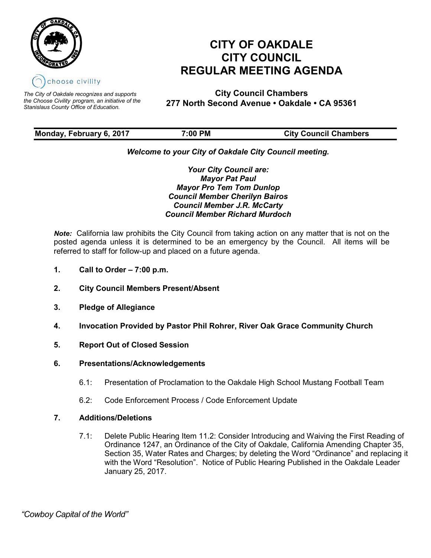

*The City of Oakdale recognizes and supports the Choose Civility program, an initiative of the Stanislaus County Office of Education.*

# **CITY OF OAKDALE CITY COUNCIL REGULAR MEETING AGENDA**

**City Council Chambers 277 North Second Avenue • Oakdale • CA 95361**

| Monday, February 6, 2017 | 7:00 PM | <b>City Council Chambers</b> |
|--------------------------|---------|------------------------------|
|                          |         |                              |

# *Welcome to your City of Oakdale City Council meeting.*

*Your City Council are: Mayor Pat Paul Mayor Pro Tem Tom Dunlop Council Member Cherilyn Bairos Council Member J.R. McCarty Council Member Richard Murdoch*

*Note:* California law prohibits the City Council from taking action on any matter that is not on the posted agenda unless it is determined to be an emergency by the Council. All items will be referred to staff for follow-up and placed on a future agenda.

- **1. Call to Order – 7:00 p.m.**
- **2. City Council Members Present/Absent**
- **3. Pledge of Allegiance**
- **4. Invocation Provided by Pastor Phil Rohrer, River Oak Grace Community Church**
- **5. Report Out of Closed Session**
- **6. Presentations/Acknowledgements**
	- 6.1: Presentation of Proclamation to the Oakdale High School Mustang Football Team
	- 6.2: Code Enforcement Process / Code Enforcement Update

# **7. Additions/Deletions**

7.1: Delete Public Hearing Item 11.2: Consider Introducing and Waiving the First Reading of Ordinance 1247, an Ordinance of the City of Oakdale, California Amending Chapter 35, Section 35, Water Rates and Charges; by deleting the Word "Ordinance" and replacing it with the Word "Resolution". Notice of Public Hearing Published in the Oakdale Leader January 25, 2017.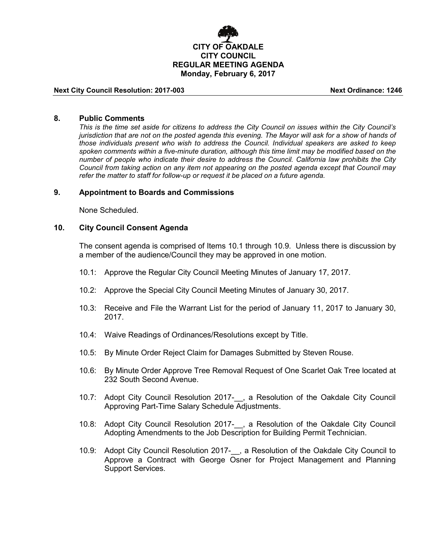

#### **Next City Council Resolution: 2017-003 Next Ordinance: 1246**

#### **8. Public Comments**

*This is the time set aside for citizens to address the City Council on issues within the City Council's jurisdiction that are not on the posted agenda this evening. The Mayor will ask for a show of hands of those individuals present who wish to address the Council. Individual speakers are asked to keep spoken comments within a five-minute duration, although this time limit may be modified based on the number of people who indicate their desire to address the Council. California law prohibits the City Council from taking action on any item not appearing on the posted agenda except that Council may refer the matter to staff for follow-up or request it be placed on a future agenda.*

#### **9. Appointment to Boards and Commissions**

None Scheduled.

#### **10. City Council Consent Agenda**

The consent agenda is comprised of Items 10.1 through 10.9. Unless there is discussion by a member of the audience/Council they may be approved in one motion.

- 10.1: Approve the Regular City Council Meeting Minutes of January 17, 2017.
- 10.2: Approve the Special City Council Meeting Minutes of January 30, 2017.
- 10.3: Receive and File the Warrant List for the period of January 11, 2017 to January 30, 2017.
- 10.4: Waive Readings of Ordinances/Resolutions except by Title.
- 10.5: By Minute Order Reject Claim for Damages Submitted by Steven Rouse.
- 10.6: By Minute Order Approve Tree Removal Request of One Scarlet Oak Tree located at 232 South Second Avenue.
- 10.7: Adopt City Council Resolution 2017-\_\_, a Resolution of the Oakdale City Council Approving Part-Time Salary Schedule Adjustments.
- 10.8: Adopt City Council Resolution 2017-\_\_, a Resolution of the Oakdale City Council Adopting Amendments to the Job Description for Building Permit Technician.
- 10.9: Adopt City Council Resolution 2017-\_\_, a Resolution of the Oakdale City Council to Approve a Contract with George Osner for Project Management and Planning Support Services.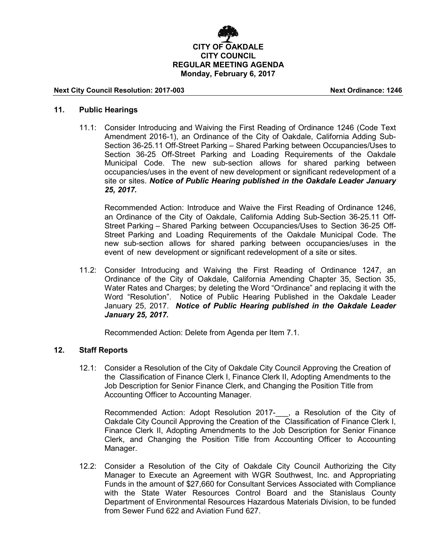

#### **Next City Council Resolution: 2017-003 Next Ordinance: 1246**

#### **11. Public Hearings**

11.1: Consider Introducing and Waiving the First Reading of Ordinance 1246 (Code Text Amendment 2016-1), an Ordinance of the City of Oakdale, California Adding Sub-Section 36-25.11 Off-Street Parking – Shared Parking between Occupancies/Uses to Section 36-25 Off-Street Parking and Loading Requirements of the Oakdale Municipal Code. The new sub-section allows for shared parking between occupancies/uses in the event of new development or significant redevelopment of a site or sites. *Notice of Public Hearing published in the Oakdale Leader January 25, 2017.*

Recommended Action: Introduce and Waive the First Reading of Ordinance 1246, an Ordinance of the City of Oakdale, California Adding Sub-Section 36-25.11 Off-Street Parking – Shared Parking between Occupancies/Uses to Section 36-25 Off-Street Parking and Loading Requirements of the Oakdale Municipal Code. The new sub-section allows for shared parking between occupancies/uses in the event of new development or significant redevelopment of a site or sites.

11.2: Consider Introducing and Waiving the First Reading of Ordinance 1247, an Ordinance of the City of Oakdale, California Amending Chapter 35, Section 35, Water Rates and Charges; by deleting the Word "Ordinance" and replacing it with the Word "Resolution". Notice of Public Hearing Published in the Oakdale Leader January 25, 2017. *Notice of Public Hearing published in the Oakdale Leader January 25, 2017.*

Recommended Action: Delete from Agenda per Item 7.1.

#### **12. Staff Reports**

12.1: Consider a Resolution of the City of Oakdale City Council Approving the Creation of the Classification of Finance Clerk I, Finance Clerk II, Adopting Amendments to the Job Description for Senior Finance Clerk, and Changing the Position Title from Accounting Officer to Accounting Manager.

Recommended Action: Adopt Resolution 2017-\_\_\_, a Resolution of the City of Oakdale City Council Approving the Creation of the Classification of Finance Clerk I, Finance Clerk II, Adopting Amendments to the Job Description for Senior Finance Clerk, and Changing the Position Title from Accounting Officer to Accounting Manager.

12.2: Consider a Resolution of the City of Oakdale City Council Authorizing the City Manager to Execute an Agreement with WGR Southwest, Inc. and Appropriating Funds in the amount of \$27,660 for Consultant Services Associated with Compliance with the State Water Resources Control Board and the Stanislaus County Department of Environmental Resources Hazardous Materials Division, to be funded from Sewer Fund 622 and Aviation Fund 627.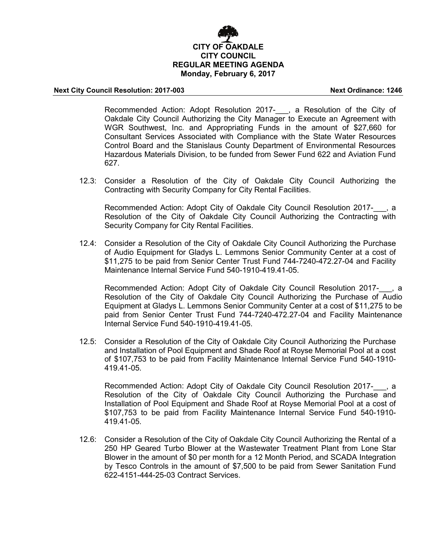# **CITY OF OAKDALE CITY COUNCIL REGULAR MEETING AGENDA Monday, February 6, 2017**

#### **Next City Council Resolution: 2017-003 Next Ordinance: 1246**

Recommended Action: Adopt Resolution 2017-\_\_\_, a Resolution of the City of Oakdale City Council Authorizing the City Manager to Execute an Agreement with WGR Southwest, Inc. and Appropriating Funds in the amount of \$27,660 for Consultant Services Associated with Compliance with the State Water Resources Control Board and the Stanislaus County Department of Environmental Resources Hazardous Materials Division, to be funded from Sewer Fund 622 and Aviation Fund 627.

12.3: Consider a Resolution of the City of Oakdale City Council Authorizing the Contracting with Security Company for City Rental Facilities.

Recommended Action: Adopt City of Oakdale City Council Resolution 2017-, a Resolution of the City of Oakdale City Council Authorizing the Contracting with Security Company for City Rental Facilities.

12.4: Consider a Resolution of the City of Oakdale City Council Authorizing the Purchase of Audio Equipment for Gladys L. Lemmons Senior Community Center at a cost of \$11,275 to be paid from Senior Center Trust Fund 744-7240-472.27-04 and Facility Maintenance Internal Service Fund 540-1910-419.41-05.

Recommended Action: Adopt City of Oakdale City Council Resolution 2017-, a Resolution of the City of Oakdale City Council Authorizing the Purchase of Audio Equipment at Gladys L. Lemmons Senior Community Center at a cost of \$11,275 to be paid from Senior Center Trust Fund 744-7240-472.27-04 and Facility Maintenance Internal Service Fund 540-1910-419.41-05.

12.5: Consider a Resolution of the City of Oakdale City Council Authorizing the Purchase and Installation of Pool Equipment and Shade Roof at Royse Memorial Pool at a cost of \$107,753 to be paid from Facility Maintenance Internal Service Fund 540-1910- 419.41-05.

Recommended Action: Adopt City of Oakdale City Council Resolution 2017-, a Resolution of the City of Oakdale City Council Authorizing the Purchase and Installation of Pool Equipment and Shade Roof at Royse Memorial Pool at a cost of \$107,753 to be paid from Facility Maintenance Internal Service Fund 540-1910- 419.41-05.

12.6: Consider a Resolution of the City of Oakdale City Council Authorizing the Rental of a 250 HP Geared Turbo Blower at the Wastewater Treatment Plant from Lone Star Blower in the amount of \$0 per month for a 12 Month Period, and SCADA Integration by Tesco Controls in the amount of \$7,500 to be paid from Sewer Sanitation Fund 622-4151-444-25-03 Contract Services.